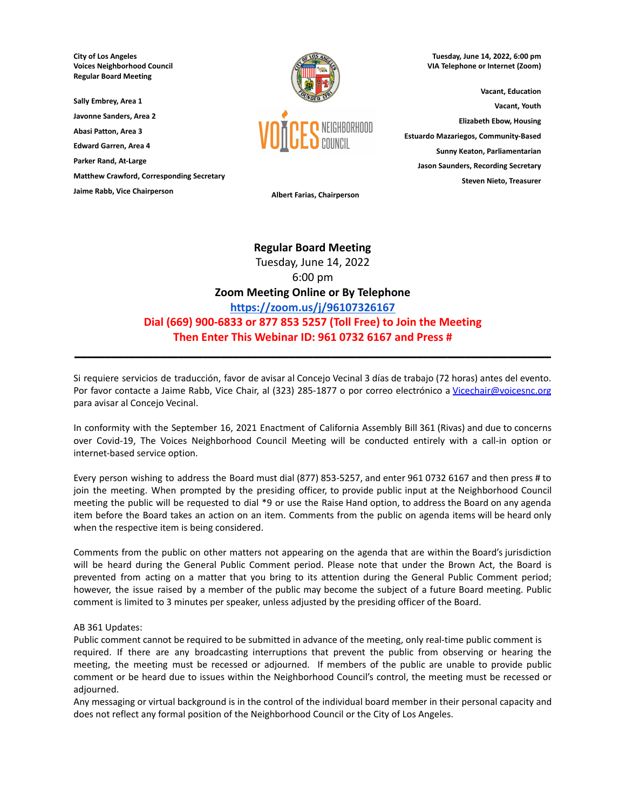**City of Los Angeles Voices Neighborhood Council Regular Board Meeting**

**Sally Embrey, Area 1 Javonne Sanders, Area 2 Abasi Patton, Area 3 Edward Garren, Area 4**

**Parker Rand, At-Large**

**Matthew Crawford, Corresponding Secretary**

**Jaime Rabb, Vice Chairperson Albert Farias, Chairperson**



**Tuesday, June 14, 2022, 6:00 pm VIA Telephone or Internet (Zoom)**

**Vacant, Education Vacant, Youth Elizabeth Ebow, Housing Estuardo Mazariegos, Community-Based Sunny Keaton, Parliamentarian Jason Saunders, Recording Secretary Steven Nieto, Treasurer**

# **Regular Board Meeting** Tuesday, June 14, 2022 6:00 pm **Zoom Meeting Online or By Telephone <https://zoom.us/j/96107326167> Dial (669) 900-6833 or 877 853 5257 (Toll Free) to Join the Meeting Then Enter This Webinar ID: 961 0732 6167 and Press #**

Si requiere servicios de traducción, favor de avisar al Concejo Vecinal 3 días de trabajo (72 horas) antes del evento. Por favor contacte a Jaime Rabb, Vice Chair, al (323) 285-1877 o por correo electrónico a [Vicechair@voicesnc.org](mailto:VNCCorrSec18@gmail.com) para avisar al Concejo Vecinal.

**\_\_\_\_\_\_\_\_\_\_\_\_\_\_\_\_\_\_\_\_\_\_\_\_\_\_\_\_\_\_\_\_\_\_\_\_\_\_\_\_\_\_\_\_\_\_\_\_\_\_\_\_\_\_\_\_\_\_\_\_\_\_\_\_\_\_\_\_\_\_\_\_\_\_\_\_\_\_**

In conformity with the September 16, 2021 Enactment of California Assembly Bill 361 (Rivas) and due to concerns over Covid-19, The Voices Neighborhood Council Meeting will be conducted entirely with a call-in option or internet-based service option.

Every person wishing to address the Board must dial (877) 853-5257, and enter 961 0732 6167 and then press # to join the meeting. When prompted by the presiding officer, to provide public input at the Neighborhood Council meeting the public will be requested to dial \*9 or use the Raise Hand option, to address the Board on any agenda item before the Board takes an action on an item. Comments from the public on agenda items will be heard only when the respective item is being considered.

Comments from the public on other matters not appearing on the agenda that are within the Board's jurisdiction will be heard during the General Public Comment period. Please note that under the Brown Act, the Board is prevented from acting on a matter that you bring to its attention during the General Public Comment period; however, the issue raised by a member of the public may become the subject of a future Board meeting. Public comment is limited to 3 minutes per speaker, unless adjusted by the presiding officer of the Board.

#### AB 361 Updates:

Public comment cannot be required to be submitted in advance of the meeting, only real-time public comment is required. If there are any broadcasting interruptions that prevent the public from observing or hearing the meeting, the meeting must be recessed or adjourned. If members of the public are unable to provide public comment or be heard due to issues within the Neighborhood Council's control, the meeting must be recessed or adjourned.

Any messaging or virtual background is in the control of the individual board member in their personal capacity and does not reflect any formal position of the Neighborhood Council or the City of Los Angeles.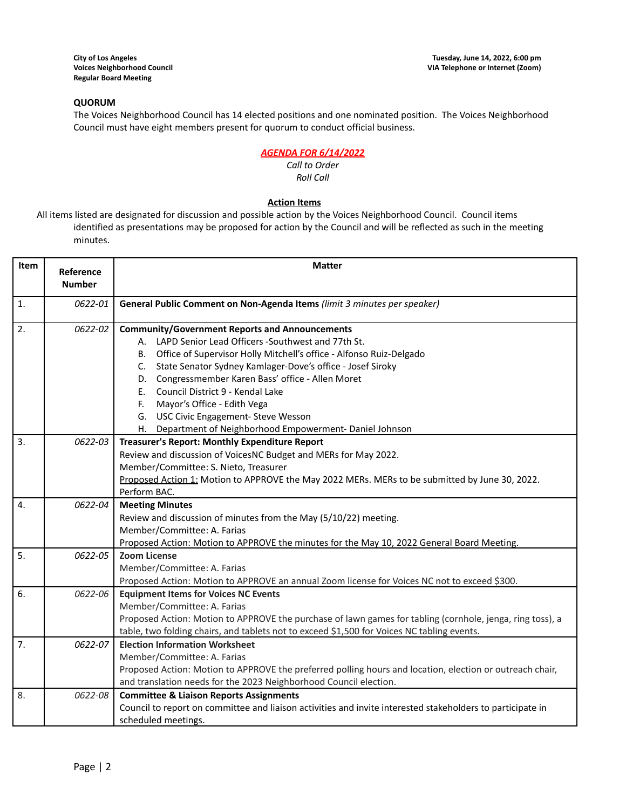# **QUORUM**

The Voices Neighborhood Council has 14 elected positions and one nominated position. The Voices Neighborhood Council must have eight members present for quorum to conduct official business.

# *AGENDA FOR 6/14/2022*

#### *Call to Order Roll Call*

# **Action Items**

All items listed are designated for discussion and possible action by the Voices Neighborhood Council. Council items identified as presentations may be proposed for action by the Council and will be reflected as such in the meeting minutes.

| Item           | Reference<br><b>Number</b> | <b>Matter</b>                                                                                              |  |  |
|----------------|----------------------------|------------------------------------------------------------------------------------------------------------|--|--|
|                |                            |                                                                                                            |  |  |
| $\mathbf{1}$ . | 0622-01                    | General Public Comment on Non-Agenda Items (limit 3 minutes per speaker)                                   |  |  |
| 2.             | 0622-02                    | <b>Community/Government Reports and Announcements</b>                                                      |  |  |
|                |                            | A. LAPD Senior Lead Officers -Southwest and 77th St.                                                       |  |  |
|                |                            | Office of Supervisor Holly Mitchell's office - Alfonso Ruiz-Delgado<br>В.                                  |  |  |
|                |                            | State Senator Sydney Kamlager-Dove's office - Josef Siroky<br>C.                                           |  |  |
|                |                            | D. Congressmember Karen Bass' office - Allen Moret                                                         |  |  |
|                |                            | Council District 9 - Kendal Lake<br>Е.                                                                     |  |  |
|                |                            | Mayor's Office - Edith Vega<br>F.                                                                          |  |  |
|                |                            | G. USC Civic Engagement- Steve Wesson                                                                      |  |  |
|                |                            | H. Department of Neighborhood Empowerment-Daniel Johnson                                                   |  |  |
| 3.             | 0622-03                    | Treasurer's Report: Monthly Expenditure Report                                                             |  |  |
|                |                            | Review and discussion of VoicesNC Budget and MERs for May 2022.                                            |  |  |
|                |                            | Member/Committee: S. Nieto, Treasurer                                                                      |  |  |
|                |                            | Proposed Action 1: Motion to APPROVE the May 2022 MERs. MERs to be submitted by June 30, 2022.             |  |  |
|                |                            | Perform BAC.                                                                                               |  |  |
| 4.             | 0622-04                    | <b>Meeting Minutes</b>                                                                                     |  |  |
|                |                            | Review and discussion of minutes from the May (5/10/22) meeting.                                           |  |  |
|                |                            | Member/Committee: A. Farias                                                                                |  |  |
|                |                            | Proposed Action: Motion to APPROVE the minutes for the May 10, 2022 General Board Meeting.                 |  |  |
| 5.             | 0622-05                    | <b>Zoom License</b>                                                                                        |  |  |
|                |                            | Member/Committee: A. Farias                                                                                |  |  |
|                |                            | Proposed Action: Motion to APPROVE an annual Zoom license for Voices NC not to exceed \$300.               |  |  |
| 6.             | 0622-06                    | <b>Equipment Items for Voices NC Events</b>                                                                |  |  |
|                |                            | Member/Committee: A. Farias                                                                                |  |  |
|                |                            | Proposed Action: Motion to APPROVE the purchase of lawn games for tabling (cornhole, jenga, ring toss), a  |  |  |
|                |                            | table, two folding chairs, and tablets not to exceed \$1,500 for Voices NC tabling events.                 |  |  |
| 7.             | 0622-07                    | <b>Election Information Worksheet</b>                                                                      |  |  |
|                |                            | Member/Committee: A. Farias                                                                                |  |  |
|                |                            | Proposed Action: Motion to APPROVE the preferred polling hours and location, election or outreach chair,   |  |  |
|                |                            | and translation needs for the 2023 Neighborhood Council election.                                          |  |  |
| 8.             | 0622-08                    | <b>Committee &amp; Liaison Reports Assignments</b>                                                         |  |  |
|                |                            | Council to report on committee and liaison activities and invite interested stakeholders to participate in |  |  |
|                |                            | scheduled meetings.                                                                                        |  |  |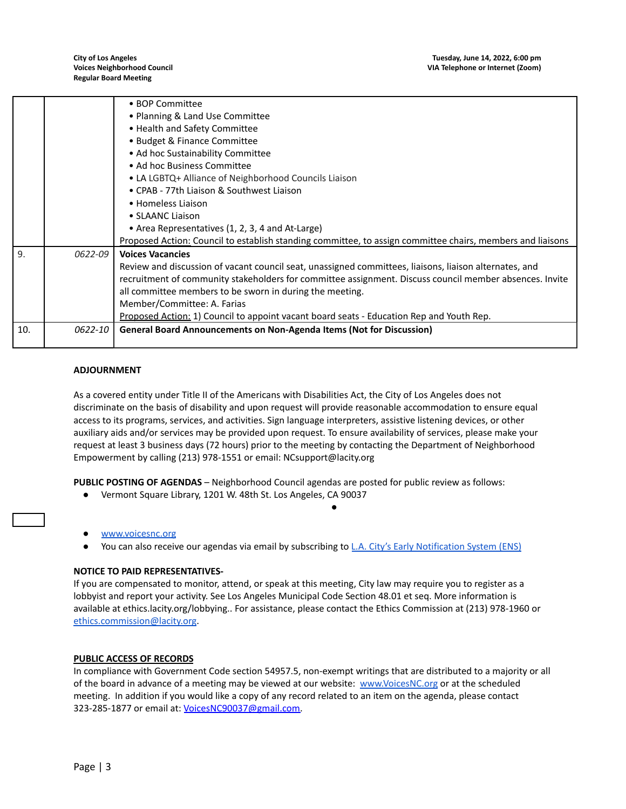|     |         | • BOP Committee                                                                                            |  |  |  |
|-----|---------|------------------------------------------------------------------------------------------------------------|--|--|--|
|     |         | • Planning & Land Use Committee                                                                            |  |  |  |
|     |         | • Health and Safety Committee                                                                              |  |  |  |
|     |         | · Budget & Finance Committee                                                                               |  |  |  |
|     |         | • Ad hoc Sustainability Committee                                                                          |  |  |  |
|     |         | • Ad hoc Business Committee                                                                                |  |  |  |
|     |         | • LA LGBTQ+ Alliance of Neighborhood Councils Liaison                                                      |  |  |  |
|     |         | • CPAB - 77th Liaison & Southwest Liaison                                                                  |  |  |  |
|     |         | • Homeless Liaison                                                                                         |  |  |  |
|     |         | • SLAANC Liaison                                                                                           |  |  |  |
|     |         | • Area Representatives (1, 2, 3, 4 and At-Large)                                                           |  |  |  |
|     |         | Proposed Action: Council to establish standing committee, to assign committee chairs, members and liaisons |  |  |  |
| 9.  | 0622-09 | <b>Voices Vacancies</b>                                                                                    |  |  |  |
|     |         | Review and discussion of vacant council seat, unassigned committees, liaisons, liaison alternates, and     |  |  |  |
|     |         | recruitment of community stakeholders for committee assignment. Discuss council member absences. Invite    |  |  |  |
|     |         | all committee members to be sworn in during the meeting.                                                   |  |  |  |
|     |         | Member/Committee: A. Farias                                                                                |  |  |  |
|     |         | Proposed Action: 1) Council to appoint vacant board seats - Education Rep and Youth Rep.                   |  |  |  |
| 10. | 0622-10 | General Board Announcements on Non-Agenda Items (Not for Discussion)                                       |  |  |  |
|     |         |                                                                                                            |  |  |  |

### **ADJOURNMENT**

As a covered entity under Title II of the Americans with Disabilities Act, the City of Los Angeles does not discriminate on the basis of disability and upon request will provide reasonable accommodation to ensure equal access to its programs, services, and activities. Sign language interpreters, assistive listening devices, or other auxiliary aids and/or services may be provided upon request. To ensure availability of services, please make your request at least 3 business days (72 hours) prior to the meeting by contacting the Department of Neighborhood Empowerment by calling (213) 978-1551 or email: NCsupport@lacity.org

**PUBLIC POSTING OF AGENDAS** – Neighborhood Council agendas are posted for public review as follows:

Vermont Square Library, 1201 W. 48th St. Los Angeles, CA 90037

#### [www.voicesnc.org](http://www.voicesnc.org)

You can also receive our agendas via email by subscribing to L.A. City's Early [Notification](https://www.lacity.org/government/subscribe-agendasnotifications/neighborhood-councils) System (ENS)

●

#### **NOTICE TO PAID REPRESENTATIVES-**

If you are compensated to monitor, attend, or speak at this meeting, City law may require you to register as a lobbyist and report your activity. See Los Angeles Municipal Code Section 48.01 et seq. More information is available at ethics.lacity.org/lobbying.. For assistance, please contact the Ethics Commission at (213) 978-1960 or [ethics.commission@lacity.org](mailto:ethics.commission@lacity.org).

#### **PUBLIC ACCESS OF RECORDS**

In compliance with Government Code section 54957.5, non-exempt writings that are distributed to a majority or all of the board in advance of a meeting may be viewed at our website: [www.VoicesNC.org](http://www.voicesnc.org) or at the scheduled meeting. In addition if you would like a copy of any record related to an item on the agenda, please contact 323-285-1877 or email at: [VoicesNC90037@gmail.com.](mailto:VoicesNC90037@gmail.com)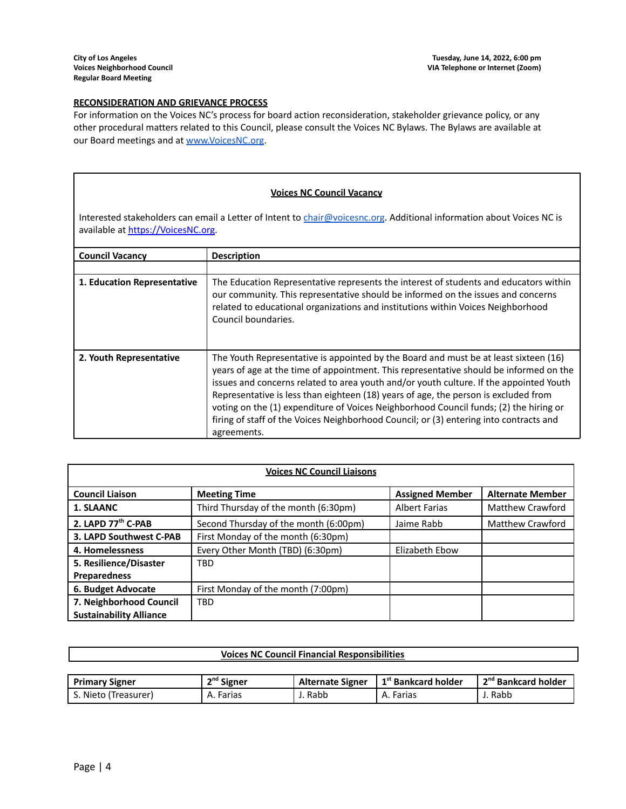## **RECONSIDERATION AND GRIEVANCE PROCESS**

For information on the Voices NC's process for board action reconsideration, stakeholder grievance policy, or any other procedural matters related to this Council, please consult the Voices NC Bylaws. The Bylaws are available at our Board meetings and at [www.VoicesNC.org](http://www.voicesnc.org).

#### **Voices NC Council Vacancy**

Interested stakeholders can email a Letter of Intent to [chair@voicesnc.org](mailto:chair@voicesnc.org). Additional information about Voices NC is available at [https://VoicesNC.org](https://protect-us.mimecast.com/s/E5C9CqxMrGcYVDosZ0ERi).

| <b>Council Vacancy</b>      | <b>Description</b>                                                                                                                                                                                                                                                                                                                                                                                                                                                                                                                                                |
|-----------------------------|-------------------------------------------------------------------------------------------------------------------------------------------------------------------------------------------------------------------------------------------------------------------------------------------------------------------------------------------------------------------------------------------------------------------------------------------------------------------------------------------------------------------------------------------------------------------|
|                             |                                                                                                                                                                                                                                                                                                                                                                                                                                                                                                                                                                   |
| 1. Education Representative | The Education Representative represents the interest of students and educators within<br>our community. This representative should be informed on the issues and concerns<br>related to educational organizations and institutions within Voices Neighborhood<br>Council boundaries.                                                                                                                                                                                                                                                                              |
| 2. Youth Representative     | The Youth Representative is appointed by the Board and must be at least sixteen (16)<br>years of age at the time of appointment. This representative should be informed on the<br>issues and concerns related to area youth and/or youth culture. If the appointed Youth<br>Representative is less than eighteen (18) years of age, the person is excluded from<br>voting on the (1) expenditure of Voices Neighborhood Council funds; (2) the hiring or<br>firing of staff of the Voices Neighborhood Council; or (3) entering into contracts and<br>agreements. |

| <b>Voices NC Council Liaisons</b> |                                       |                        |                         |
|-----------------------------------|---------------------------------------|------------------------|-------------------------|
| <b>Council Liaison</b>            | <b>Meeting Time</b>                   | <b>Assigned Member</b> | <b>Alternate Member</b> |
| 1. SLAANC                         | Third Thursday of the month (6:30pm)  | <b>Albert Farias</b>   | Matthew Crawford        |
| 2. LAPD 77th C-PAB                | Second Thursday of the month (6:00pm) | Jaime Rabb             | <b>Matthew Crawford</b> |
| 3. LAPD Southwest C-PAB           | First Monday of the month (6:30pm)    |                        |                         |
| 4. Homelessness                   | Every Other Month (TBD) (6:30pm)      | Elizabeth Ebow         |                         |
| 5. Resilience/Disaster            | <b>TBD</b>                            |                        |                         |
| <b>Preparedness</b>               |                                       |                        |                         |
| 6. Budget Advocate                | First Monday of the month (7:00pm)    |                        |                         |
| 7. Neighborhood Council           | <b>TBD</b>                            |                        |                         |
| <b>Sustainability Alliance</b>    |                                       |                        |                         |

| <b>Voices NC Council Financial Responsibilities</b> |              |                         |                                 |                                 |
|-----------------------------------------------------|--------------|-------------------------|---------------------------------|---------------------------------|
|                                                     |              |                         |                                 |                                 |
| <b>Primary Signer</b>                               | $2nd$ Signer | <b>Alternate Signer</b> | 1 <sup>st</sup> Bankcard holder | 2 <sup>nd</sup> Bankcard holder |
| S. Nieto (Treasurer)                                | A. Farias    | J. Rabb                 | A. Farias                       | J. Rabb                         |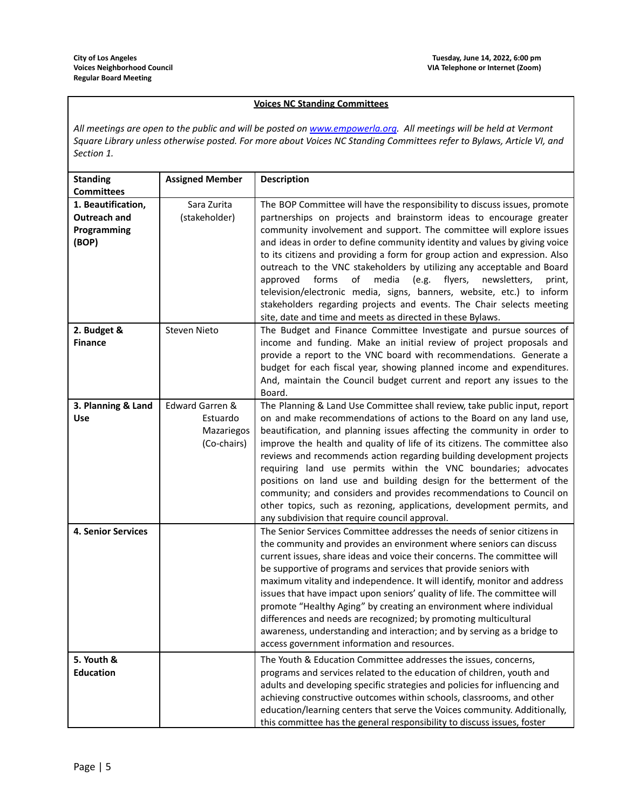## **Voices NC Standing Committees**

All meetings are open to the public and will be posted on [www.empowerla.org](http://www.empowerla.org). All meetings will be held at Vermont Square Library unless otherwise posted. For more about Voices NC Standing Committees refer to Bylaws, Article VI, and *Section 1.*

| <b>Standing</b>           | <b>Assigned Member</b> | <b>Description</b>                                                                                                       |
|---------------------------|------------------------|--------------------------------------------------------------------------------------------------------------------------|
| <b>Committees</b>         |                        |                                                                                                                          |
| 1. Beautification,        | Sara Zurita            | The BOP Committee will have the responsibility to discuss issues, promote                                                |
| Outreach and              | (stakeholder)          | partnerships on projects and brainstorm ideas to encourage greater                                                       |
| Programming               |                        | community involvement and support. The committee will explore issues                                                     |
| (BOP)                     |                        | and ideas in order to define community identity and values by giving voice                                               |
|                           |                        | to its citizens and providing a form for group action and expression. Also                                               |
|                           |                        | outreach to the VNC stakeholders by utilizing any acceptable and Board                                                   |
|                           |                        | of<br>forms<br>media<br>(e.g.<br>flyers,<br>approved<br>newsletters,<br>print,                                           |
|                           |                        | television/electronic media, signs, banners, website, etc.) to inform                                                    |
|                           |                        | stakeholders regarding projects and events. The Chair selects meeting                                                    |
|                           |                        | site, date and time and meets as directed in these Bylaws.                                                               |
| 2. Budget &               | Steven Nieto           | The Budget and Finance Committee Investigate and pursue sources of                                                       |
| <b>Finance</b>            |                        | income and funding. Make an initial review of project proposals and                                                      |
|                           |                        | provide a report to the VNC board with recommendations. Generate a                                                       |
|                           |                        | budget for each fiscal year, showing planned income and expenditures.                                                    |
|                           |                        | And, maintain the Council budget current and report any issues to the                                                    |
|                           |                        | Board.                                                                                                                   |
| 3. Planning & Land        | Edward Garren &        | The Planning & Land Use Committee shall review, take public input, report                                                |
| <b>Use</b>                | Estuardo               | on and make recommendations of actions to the Board on any land use,                                                     |
|                           | Mazariegos             | beautification, and planning issues affecting the community in order to                                                  |
|                           | (Co-chairs)            | improve the health and quality of life of its citizens. The committee also                                               |
|                           |                        | reviews and recommends action regarding building development projects                                                    |
|                           |                        | requiring land use permits within the VNC boundaries; advocates                                                          |
|                           |                        | positions on land use and building design for the betterment of the                                                      |
|                           |                        | community; and considers and provides recommendations to Council on                                                      |
|                           |                        | other topics, such as rezoning, applications, development permits, and<br>any subdivision that require council approval. |
| <b>4. Senior Services</b> |                        | The Senior Services Committee addresses the needs of senior citizens in                                                  |
|                           |                        | the community and provides an environment where seniors can discuss                                                      |
|                           |                        | current issues, share ideas and voice their concerns. The committee will                                                 |
|                           |                        | be supportive of programs and services that provide seniors with                                                         |
|                           |                        | maximum vitality and independence. It will identify, monitor and address                                                 |
|                           |                        | issues that have impact upon seniors' quality of life. The committee will                                                |
|                           |                        | promote "Healthy Aging" by creating an environment where individual                                                      |
|                           |                        | differences and needs are recognized; by promoting multicultural                                                         |
|                           |                        | awareness, understanding and interaction; and by serving as a bridge to                                                  |
|                           |                        | access government information and resources.                                                                             |
| 5. Youth &                |                        | The Youth & Education Committee addresses the issues, concerns,                                                          |
| <b>Education</b>          |                        | programs and services related to the education of children, youth and                                                    |
|                           |                        | adults and developing specific strategies and policies for influencing and                                               |
|                           |                        | achieving constructive outcomes within schools, classrooms, and other                                                    |
|                           |                        | education/learning centers that serve the Voices community. Additionally,                                                |
|                           |                        | this committee has the general responsibility to discuss issues, foster                                                  |